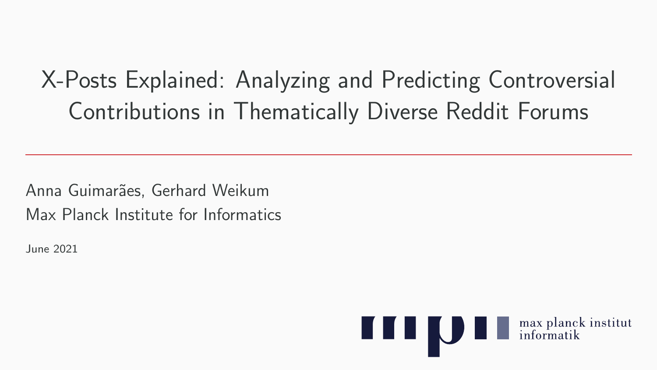# X-Posts Explained: Analyzing and Predicting Controversial Contributions in Thematically Diverse Reddit Forums

Anna Guimarães, Gerhard Weikum Max Planck Institute for Informatics

June 2021

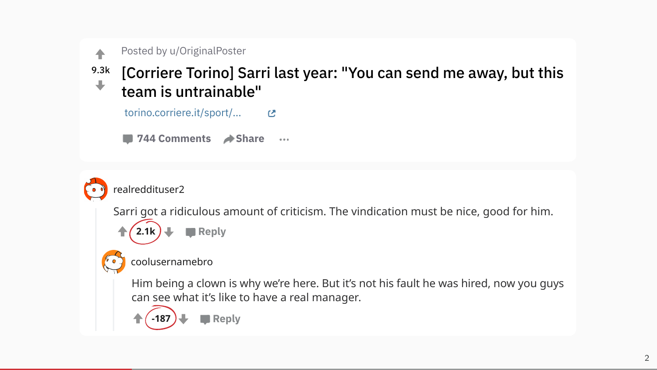

#### Posted by u/OriginalPoster

#### 9.3k [Corriere Torino] Sarri last year: "You can send me away, but this  $\oplus$ team is untrainable"

torino.corriere.it/sport/... r. ■ 744 Comments → Share  $\cdots$ realreddituser2 Sarri got a ridiculous amount of criticism. The vindication must be nice, good for him. **Reply 2.1k**

#### coolusernamebro

**-187**

Him being a clown is why we're here. But it's not his fault he was hired, now you guys can see what it's like to have a real manager.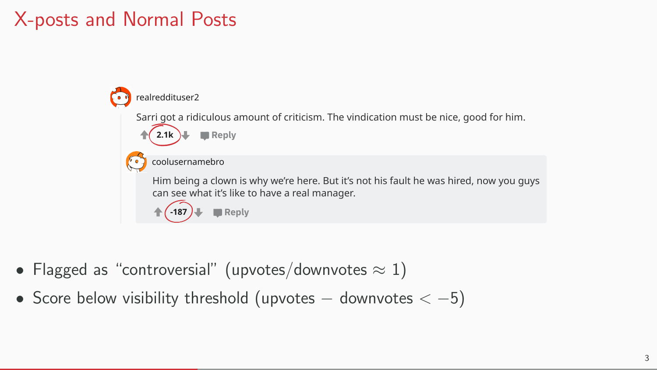#### X-posts and Normal Posts



- Flagged as "controversial" (upvotes/downvotes  $\approx 1$ )
- Score below visibility threshold (upvotes  $-$  downvotes  $<-5$ )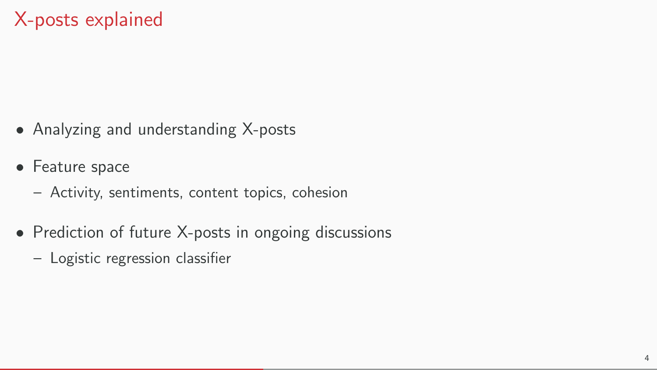- Analyzing and understanding X-posts
- Feature space
	- Activity, sentiments, content topics, cohesion
- Prediction of future X-posts in ongoing discussions
	- Logistic regression classifier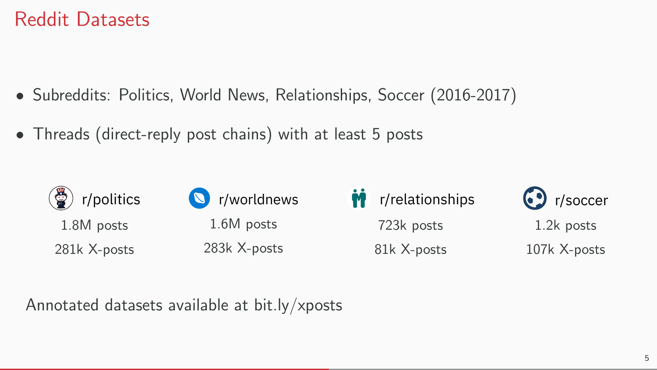#### Reddit Datasets

- Subreddits: Politics, World News, Relationships, Soccer (2016-2017)
- Threads (direct-reply post chains) with at least 5 posts



Annotated datasets available at bit.ly/xposts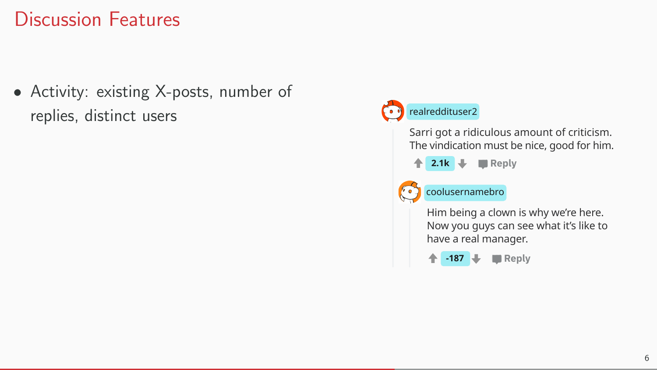• Activity: existing X-posts, number of replies, distinct users

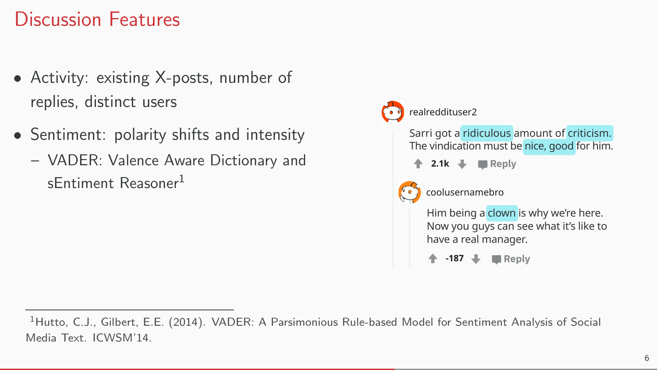- Activity: existing X-posts, number of replies, distinct users
- Sentiment: polarity shifts and intensity
	- VADER: Valence Aware Dictionary and sEntiment Reasoner<sup>1</sup>



<sup>&</sup>lt;sup>1</sup>Hutto, C.J., Gilbert, E.E. (2014). VADER: A Parsimonious Rule-based Model for Sentiment Analysis of Social Media Text. ICWSM'14.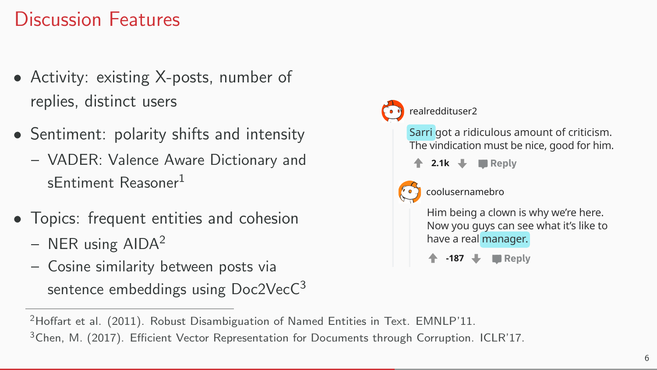- Activity: existing X-posts, number of replies, distinct users
- Sentiment: polarity shifts and intensity
	- VADER: Valence Aware Dictionary and sEntiment Reasoner<sup>1</sup>
- Topics: frequent entities and cohesion
	- $-$  NER using AIDA<sup>2</sup>
	- Cosine similarity between posts via sentence embeddings using Doc2VecC<sup>3</sup>



<sup>2</sup>Hoffart et al. (2011). Robust Disambiguation of Named Entities in Text. EMNLP'11. <sup>3</sup>Chen, M. (2017). Efficient Vector Representation for Documents through Corruption. ICLR'17.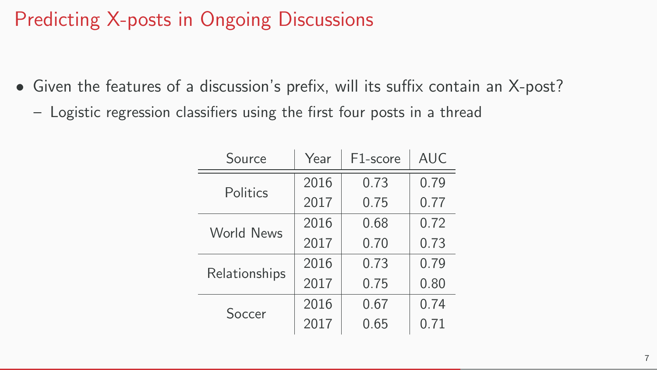### Predicting X-posts in Ongoing Discussions

- Given the features of a discussion's prefix, will its suffix contain an X-post?
	- Logistic regression classifiers using the first four posts in a thread

| Source            | Year | F <sub>1</sub> -score | <b>AUC</b> |
|-------------------|------|-----------------------|------------|
| Politics          | 2016 | 0.73                  | 0.79       |
|                   | 2017 | 0.75                  | 0.77       |
| <b>World News</b> | 2016 | 0.68                  | 0.72       |
|                   | 2017 | 0.70                  | 0.73       |
| Relationships     | 2016 | 0.73                  | 0.79       |
|                   | 2017 | 0.75                  | 0.80       |
| Soccer            | 2016 | 0.67                  | 0.74       |
|                   | 2017 | 0.65                  | 0.71       |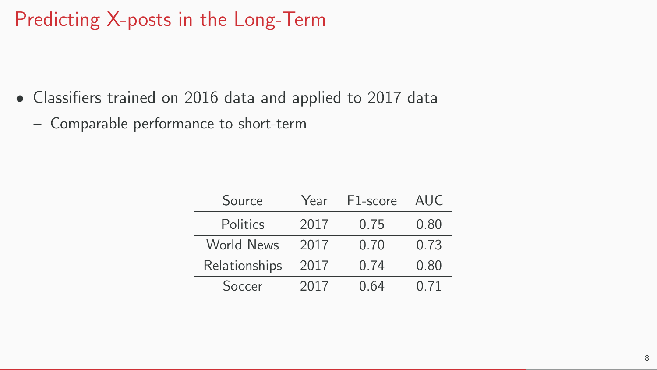#### Predicting X-posts in the Long-Term

- Classifiers trained on 2016 data and applied to 2017 data
	- Comparable performance to short-term

| Source            | Year | F1-score | <b>AUC</b> |
|-------------------|------|----------|------------|
| Politics          | 2017 | 0.75     | 0.80       |
| <b>World News</b> | 2017 | 0.70     | 0.73       |
| Relationships     | 2017 | 0.74     | 0.80       |
| Soccer            | 2017 | 0.64     | 0.71       |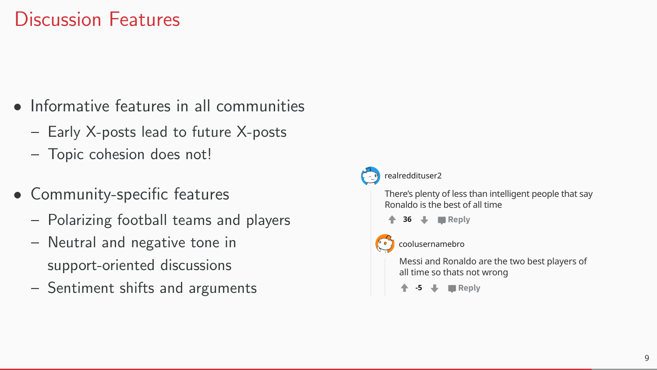- Informative features in all communities
	- Early X-posts lead to future X-posts
	- Topic cohesion does not!
- Community-specific features
	- Polarizing football teams and players
	- Neutral and negative tone in support-oriented discussions
	- Sentiment shifts and arguments

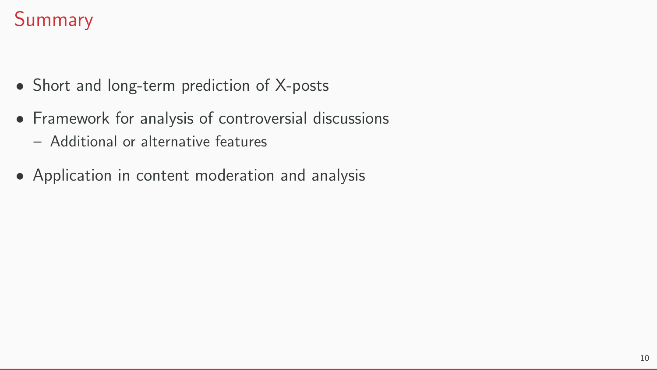## Summary

- Short and long-term prediction of X-posts
- Framework for analysis of controversial discussions
	- Additional or alternative features
- Application in content moderation and analysis